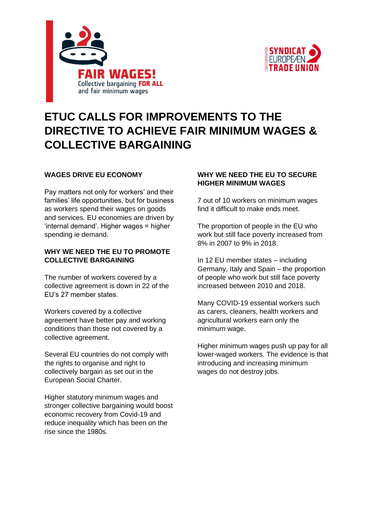



# **ETUC CALLS FOR IMPROVEMENTS TO THE DIRECTIVE TO ACHIEVE FAIR MINIMUM WAGES & COLLECTIVE BARGAINING**

### **WAGES DRIVE EU ECONOMY**

Pay matters not only for workers' and their families' life opportunities, but for business as workers spend their wages on goods and services. EU economies are driven by 'internal demand'. Higher wages = higher spending ie demand.

#### **WHY WE NEED THE EU TO PROMOTE COLLECTIVE BARGAINING**

The number of workers covered by a collective agreement is down in 22 of the EU's 27 member states.

Workers covered by a collective agreement have better pay and working conditions than those not covered by a collective agreement.

Several EU countries do not comply with the rights to organise and right to collectively bargain as set out in the European Social Charter.

Higher statutory minimum wages and stronger collective bargaining would boost economic recovery from Covid-19 and reduce inequality which has been on the rise since the 1980s.

### **WHY WE NEED THE EU TO SECURE HIGHER MINIMUM WAGES**

7 out of 10 workers on minimum wages find it difficult to make ends meet.

The proportion of people in the EU who work but still face poverty increased from 8% in 2007 to 9% in 2018.

In 12 EU member states – including Germany, Italy and Spain – the proportion of people who work but still face poverty increased between 2010 and 2018.

Many COVID-19 essential workers such as carers, cleaners, health workers and agricultural workers earn only the minimum wage.

Higher minimum wages push up pay for all lower-waged workers. The evidence is that introducing and increasing minimum wages do not destroy jobs.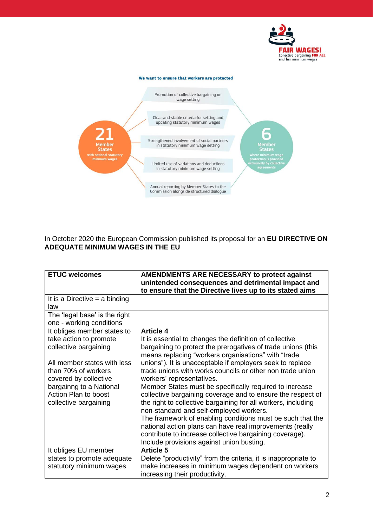



In October 2020 the European Commission published its proposal for an **EU DIRECTIVE ON ADEQUATE MINIMUM WAGES IN THE EU**

| <b>ETUC welcomes</b>            | <b>AMENDMENTS ARE NECESSARY to protect against</b>                                                   |
|---------------------------------|------------------------------------------------------------------------------------------------------|
|                                 | unintended consequences and detrimental impact and                                                   |
|                                 | to ensure that the Directive lives up to its stated aims                                             |
| It is a Directive $=$ a binding |                                                                                                      |
| law                             |                                                                                                      |
| The 'legal base' is the right   |                                                                                                      |
| one - working conditions        |                                                                                                      |
| It obliges member states to     | <b>Article 4</b>                                                                                     |
| take action to promote          | It is essential to changes the definition of collective                                              |
| collective bargaining           | bargaining to protect the prerogatives of trade unions (this                                         |
|                                 | means replacing "workers organisations" with "trade                                                  |
| All member states with less     | unions"). It is unacceptable if employers seek to replace                                            |
| than 70% of workers             | trade unions with works councils or other non trade union                                            |
| covered by collective           | workers' representatives.                                                                            |
| bargainng to a National         | Member States must be specifically required to increase                                              |
| <b>Action Plan to boost</b>     | collective bargaining coverage and to ensure the respect of                                          |
| collective bargaining           | the right to collective bargaining for all workers, including                                        |
|                                 | non-standard and self-employed workers.                                                              |
|                                 | The framework of enabling conditions must be such that the                                           |
|                                 | national action plans can have real improvements (really                                             |
|                                 | contribute to increase collective bargaining coverage).<br>Include provisions against union busting. |
|                                 | <b>Article 5</b>                                                                                     |
| It obliges EU member            |                                                                                                      |
| states to promote adequate      | Delete "productivity" from the criteria, it is inappropriate to                                      |
| statutory minimum wages         | make increases in minimum wages dependent on workers                                                 |
|                                 | increasing their productivity.                                                                       |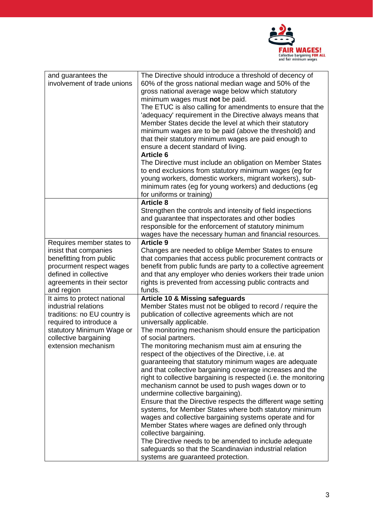

| and guarantees the<br>involvement of trade unions                                                                                                                                           | The Directive should introduce a threshold of decency of<br>60% of the gross national median wage and 50% of the<br>gross national average wage below which statutory<br>minimum wages must not be paid.<br>The ETUC is also calling for amendments to ensure that the<br>'adequacy' requirement in the Directive always means that<br>Member States decide the level at which their statutory<br>minimum wages are to be paid (above the threshold) and<br>that their statutory minimum wages are paid enough to<br>ensure a decent standard of living.<br><b>Article 6</b><br>The Directive must include an obligation on Member States<br>to end exclusions from statutory minimum wages (eg for<br>young workers, domestic workers, migrant workers), sub-<br>minimum rates (eg for young workers) and deductions (eg<br>for uniforms or training)                                                                                                                                                                                                                                                        |
|---------------------------------------------------------------------------------------------------------------------------------------------------------------------------------------------|---------------------------------------------------------------------------------------------------------------------------------------------------------------------------------------------------------------------------------------------------------------------------------------------------------------------------------------------------------------------------------------------------------------------------------------------------------------------------------------------------------------------------------------------------------------------------------------------------------------------------------------------------------------------------------------------------------------------------------------------------------------------------------------------------------------------------------------------------------------------------------------------------------------------------------------------------------------------------------------------------------------------------------------------------------------------------------------------------------------|
|                                                                                                                                                                                             | <b>Article 8</b><br>Strengthen the controls and intensity of field inspections<br>and guarantee that inspectorates and other bodies<br>responsible for the enforcement of statutory minimum<br>wages have the necessary human and financial resources.                                                                                                                                                                                                                                                                                                                                                                                                                                                                                                                                                                                                                                                                                                                                                                                                                                                        |
| Requires member states to<br>insist that companies<br>benefitting from public<br>procurment respect wages<br>defined in collective<br>agreements in their sector<br>and region              | <b>Article 9</b><br>Changes are needed to oblige Member States to ensure<br>that companies that access public procurement contracts or<br>benefit from public funds are party to a collective agreement<br>and that any employer who denies workers their trade union<br>rights is prevented from accessing public contracts and<br>funds.                                                                                                                                                                                                                                                                                                                                                                                                                                                                                                                                                                                                                                                                                                                                                                    |
| It aims to protect national<br>industrial relations<br>traditions: no EU country is<br>required to introduce a<br>statutory Minimum Wage or<br>collective bargaining<br>extension mechanism | <b>Article 10 &amp; Missing safeguards</b><br>Member States must not be obliged to record / require the<br>publication of collective agreements which are not<br>universally applicable.<br>The monitoring mechanism should ensure the participation<br>of social partners.<br>The monitoring mechanism must aim at ensuring the<br>respect of the objectives of the Directive, i.e. at<br>guaranteeing that statutory minimum wages are adequate<br>and that collective bargaining coverage increases and the<br>right to collective bargaining is respected (i.e. the monitoring<br>mechanism cannot be used to push wages down or to<br>undermine collective bargaining).<br>Ensure that the Directive respects the different wage setting<br>systems, for Member States where both statutory minimum<br>wages and collective bargaining systems operate and for<br>Member States where wages are defined only through<br>collective bargaining.<br>The Directive needs to be amended to include adequate<br>safeguards so that the Scandinavian industrial relation<br>systems are guaranteed protection. |